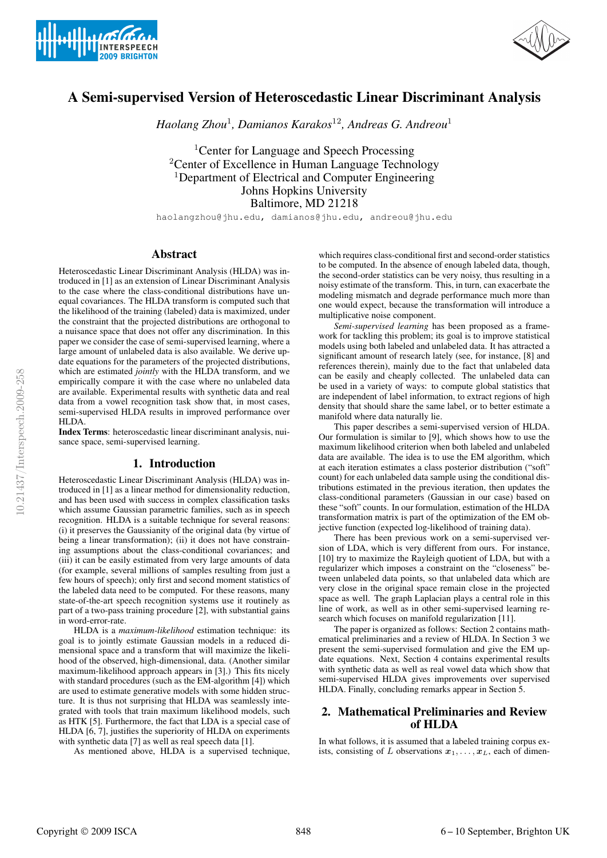



# A Semi-supervised Version of Heteroscedastic Linear Discriminant Analysis

*Haolang Zhou*<sup>1</sup> *, Damianos Karakos*<sup>12</sup>*, Andreas G. Andreou*<sup>1</sup>

<sup>1</sup>Center for Language and Speech Processing <sup>2</sup>Center of Excellence in Human Language Technology <sup>1</sup>Department of Electrical and Computer Engineering Johns Hopkins University Baltimore, MD 21218

haolangzhou@jhu.edu, damianos@jhu.edu, andreou@jhu.edu

#### Abstract

Heteroscedastic Linear Discriminant Analysis (HLDA) was introduced in [1] as an extension of Linear Discriminant Analysis to the case where the class-conditional distributions have unequal covariances. The HLDA transform is computed such that the likelihood of the training (labeled) data is maximized, under the constraint that the projected distributions are orthogonal to a nuisance space that does not offer any discrimination. In this paper we consider the case of semi-supervised learning, where a large amount of unlabeled data is also available. We derive update equations for the parameters of the projected distributions, which are estimated *jointly* with the HLDA transform, and we empirically compare it with the case where no unlabeled data are available. Experimental results with synthetic data and real data from a vowel recognition task show that, in most cases, semi-supervised HLDA results in improved performance over HLDA.

Index Terms: heteroscedastic linear discriminant analysis, nuisance space, semi-supervised learning.

# 1. Introduction

Heteroscedastic Linear Discriminant Analysis (HLDA) was introduced in [1] as a linear method for dimensionality reduction, and has been used with success in complex classification tasks which assume Gaussian parametric families, such as in speech recognition. HLDA is a suitable technique for several reasons: (i) it preserves the Gaussianity of the original data (by virtue of being a linear transformation); (ii) it does not have constraining assumptions about the class-conditional covariances; and (iii) it can be easily estimated from very large amounts of data (for example, several millions of samples resulting from just a few hours of speech); only first and second moment statistics of the labeled data need to be computed. For these reasons, many state-of-the-art speech recognition systems use it routinely as part of a two-pass training procedure [2], with substantial gains in word-error-rate.

HLDA is a *maximum-likelihood* estimation technique: its goal is to jointly estimate Gaussian models in a reduced dimensional space and a transform that will maximize the likelihood of the observed, high-dimensional, data. (Another similar maximum-likelihood approach appears in [3].) This fits nicely with standard procedures (such as the EM-algorithm [4]) which are used to estimate generative models with some hidden structure. It is thus not surprising that HLDA was seamlessly integrated with tools that train maximum likelihood models, such as HTK [5]. Furthermore, the fact that LDA is a special case of HLDA [6, 7], justifies the superiority of HLDA on experiments with synthetic data [7] as well as real speech data [1].

As mentioned above, HLDA is a supervised technique,

which requires class-conditional first and second-order statistics to be computed. In the absence of enough labeled data, though, the second-order statistics can be very noisy, thus resulting in a noisy estimate of the transform. This, in turn, can exacerbate the modeling mismatch and degrade performance much more than one would expect, because the transformation will introduce a multiplicative noise component.

*Semi-supervised learning* has been proposed as a framework for tackling this problem; its goal is to improve statistical models using both labeled and unlabeled data. It has attracted a significant amount of research lately (see, for instance, [8] and references therein), mainly due to the fact that unlabeled data can be easily and cheaply collected. The unlabeled data can be used in a variety of ways: to compute global statistics that are independent of label information, to extract regions of high density that should share the same label, or to better estimate a manifold where data naturally lie.

This paper describes a semi-supervised version of HLDA. Our formulation is similar to [9], which shows how to use the maximum likelihood criterion when both labeled and unlabeled data are available. The idea is to use the EM algorithm, which at each iteration estimates a class posterior distribution ("soft" count) for each unlabeled data sample using the conditional distributions estimated in the previous iteration, then updates the class-conditional parameters (Gaussian in our case) based on these "soft" counts. In our formulation, estimation of the HLDA transformation matrix is part of the optimization of the EM objective function (expected log-likelihood of training data).

There has been previous work on a semi-supervised version of LDA, which is very different from ours. For instance, [10] try to maximize the Rayleigh quotient of LDA, but with a regularizer which imposes a constraint on the "closeness" between unlabeled data points, so that unlabeled data which are very close in the original space remain close in the projected space as well. The graph Laplacian plays a central role in this line of work, as well as in other semi-supervised learning research which focuses on manifold regularization [11].

The paper is organized as follows: Section 2 contains mathematical preliminaries and a review of HLDA. In Section 3 we present the semi-supervised formulation and give the EM update equations. Next, Section 4 contains experimental results with synthetic data as well as real vowel data which show that semi-supervised HLDA gives improvements over supervised HLDA. Finally, concluding remarks appear in Section 5.

# 2. Mathematical Preliminaries and Review of HLDA

In what follows, it is assumed that a labeled training corpus exists, consisting of L observations  $x_1, \ldots, x_L$ , each of dimen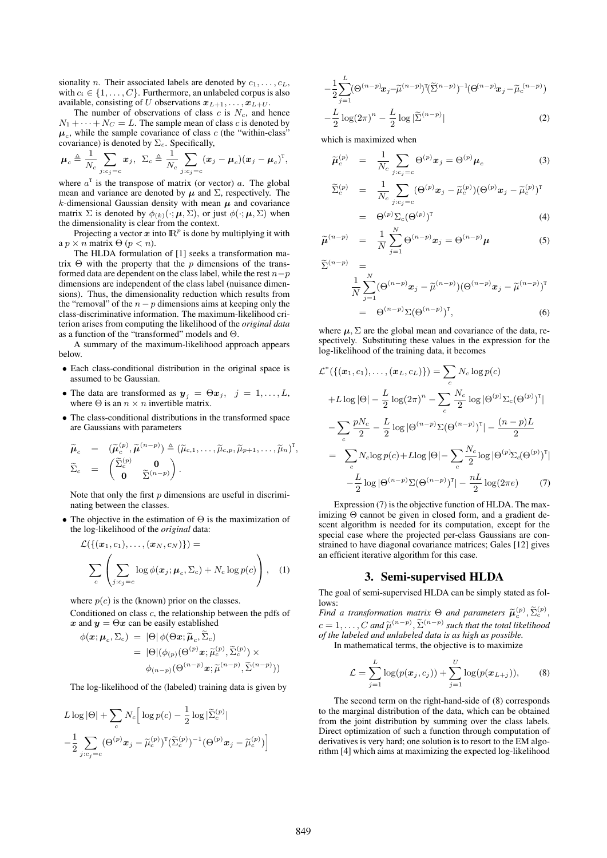sionality n. Their associated labels are denoted by  $c_1, \ldots, c_L$ , with  $c_i \in \{1, \ldots, C\}$ . Furthermore, an unlabeled corpus is also available, consisting of U observations  $x_{L+1}, \ldots, x_{L+U}$ .

The number of observations of class  $c$  is  $N_c$ , and hence  $N_1 + \cdots + N_C = L$ . The sample mean of class c is denoted by  $\mu_c$ , while the sample covariance of class c (the "within-class" covariance) is denoted by  $\Sigma_c$ . Specifically,

$$
\boldsymbol{\mu}_c \triangleq \frac{1}{N_c} \sum_{j:c_j=c} \boldsymbol{x}_j, \ \ \Sigma_c \triangleq \frac{1}{N_c} \sum_{j:c_j=c} (\boldsymbol{x}_j - \boldsymbol{\mu}_c) (\boldsymbol{x}_j - \boldsymbol{\mu}_c)^{\mathrm{T}},
$$

where  $a^T$  is the transpose of matrix (or vector) a. The global mean and variance are denoted by  $\mu$  and  $\Sigma$ , respectively. The k-dimensional Gaussian density with mean  $\mu$  and covariance matrix  $\Sigma$  is denoted by  $\phi_{(k)}(\cdot;\boldsymbol{\mu},\Sigma)$ , or just  $\phi(\cdot;\boldsymbol{\mu},\Sigma)$  when the dimensionality is clear from the context.

Projecting a vector  $x$  into  $\mathbb{R}^p$  is done by multiplying it with a  $p \times n$  matrix  $\Theta$  ( $p < n$ ).

The HLDA formulation of [1] seeks a transformation matrix  $\Theta$  with the property that the p dimensions of the transformed data are dependent on the class label, while the rest  $n-p$ dimensions are independent of the class label (nuisance dimensions). Thus, the dimensionality reduction which results from the "removal" of the  $n-p$  dimensions aims at keeping only the class-discriminative information. The maximum-likelihood criterion arises from computing the likelihood of the *original data* as a function of the "transformed" models and Θ.

A summary of the maximum-likelihood approach appears below.

- Each class-conditional distribution in the original space is assumed to be Gaussian.
- The data are transformed as  $y_j = \Theta x_j$ ,  $j = 1, \ldots, L$ , where  $\Theta$  is an  $n \times n$  invertible matrix.
- The class-conditional distributions in the transformed space are Gaussians with parameters

$$
\widetilde{\boldsymbol{\mu}}_c = (\widetilde{\boldsymbol{\mu}}_c^{(p)}, \widetilde{\boldsymbol{\mu}}^{(n-p)}) \triangleq (\widetilde{\mu}_{c,1}, \dots, \widetilde{\mu}_{c,p}, \widetilde{\mu}_{p+1}, \dots, \widetilde{\mu}_n)^{\mathrm{T}}, \n\widetilde{\Sigma}_c = \begin{pmatrix} \widetilde{\Sigma}_c^{(p)} & \mathbf{0} \\ \mathbf{0} & \widetilde{\Sigma}^{(n-p)} \end{pmatrix}.
$$

Note that only the first  $p$  dimensions are useful in discriminating between the classes.

• The objective in the estimation of  $\Theta$  is the maximization of the log-likelihood of the *original* data:

$$
\mathcal{L}(\{(x_1, c_1), \ldots, (x_N, c_N)\}) =
$$
\n
$$
\sum_{c} \left( \sum_{j:c_j=c} \log \phi(x_j; \mu_c, \Sigma_c) + N_c \log p(c) \right), \quad (1)
$$

where  $p(c)$  is the (known) prior on the classes.

Conditioned on class c, the relationship between the pdfs of x and  $y = \Theta x$  can be easily established

$$
\begin{aligned} \phi(\mathbf{x}; \boldsymbol{\mu}_c, \Sigma_c) \ &= \ |\Theta| \, \phi(\Theta \mathbf{x}; \widetilde{\boldsymbol{\mu}}_c, \widetilde{\Sigma}_c) \\ &= \ |\Theta| (\phi_{(p)}(\Theta^{(p)} \mathbf{x}; \widetilde{\mu}_c^{(p)}, \widetilde{\Sigma}_c^{(p)}) \times \\ \phi_{(n-p)}(\Theta^{(n-p)} \mathbf{x}; \widetilde{\mu}^{(n-p)}, \widetilde{\Sigma}^{(n-p)})) \end{aligned}
$$

The log-likelihood of the (labeled) training data is given by

$$
L \log |\Theta| + \sum_{c} N_c \Big[ \log p(c) - \frac{1}{2} \log |\widetilde{\Sigma}_c^{(p)}|
$$
  
- 
$$
\frac{1}{2} \sum_{j:c_j=c} (\Theta^{(p)} x_j - \widetilde{\mu}_c^{(p)})^{\mathrm{T}} (\widetilde{\Sigma}_c^{(p)})^{-1} (\Theta^{(p)} x_j - \widetilde{\mu}_c^{(p)}) \Big]
$$

$$
-\frac{1}{2}\sum_{j=1}^{L}(\Theta^{(n-p)}x_j-\widetilde{\mu}^{(n-p)})^{\mathrm{T}}(\widetilde{\Sigma}^{(n-p)})^{-1}(\Theta^{(n-p)}x_j-\widetilde{\mu}_c^{(n-p)})
$$

$$
-\frac{L}{2}\log(2\pi)^n-\frac{L}{2}\log|\widetilde{\Sigma}^{(n-p)}|
$$
(2)

which is maximized when

$$
\widetilde{\boldsymbol{\mu}}_c^{(p)} = \frac{1}{N_c} \sum_{j:c_j=c} \Theta^{(p)} \boldsymbol{x}_j = \Theta^{(p)} \boldsymbol{\mu}_c \tag{3}
$$

$$
\widetilde{\Sigma}_c^{(p)} = \frac{1}{N_c} \sum_{j:c_j=c} (\Theta^{(p)} x_j - \widetilde{\mu}_c^{(p)}) (\Theta^{(p)} x_j - \widetilde{\mu}_c^{(p)})^{\mathrm{T}}
$$
\n
$$
= \Theta^{(p)} \Sigma (\Theta^{(p)})^{\mathrm{T}}
$$
\n(4)

$$
= \Theta^{(p)} \Sigma_c (\Theta^{(p)})^T \tag{4}
$$

$$
\widetilde{\mu}^{(n-p)} = \frac{1}{N} \sum_{j=1}^{N} \Theta^{(n-p)} x_j = \Theta^{(n-p)} \mu
$$
 (5)

 $\widetilde{\Sigma}^{(n-p)}$  =

$$
\frac{1}{N} \sum_{j=1}^{N} (\Theta^{(n-p)} \boldsymbol{x}_j - \widetilde{\mu}^{(n-p)}) (\Theta^{(n-p)} \boldsymbol{x}_j - \widetilde{\mu}^{(n-p)})^{\mathrm{T}} = \Theta^{(n-p)} \Sigma (\Theta^{(n-p)})^{\mathrm{T}},
$$
\n(6)

where  $\mu$ ,  $\Sigma$  are the global mean and covariance of the data, respectively. Substituting these values in the expression for the log-likelihood of the training data, it becomes

$$
\mathcal{L}^*({{(x_1, c_1), ..., (x_L, c_L)}}) = \sum_c N_c \log p(c)
$$
  
+L log | $\Theta$ | -  $\frac{L}{2}$  log(2 $\pi$ )<sup>n</sup> -  $\sum_c \frac{N_c}{2}$  log | $\Theta$ <sup>(p)</sup>  $\Sigma_c$ ( $\Theta$ <sup>(p)</sup>)<sup>T</sup>|  
-  $\sum_c \frac{pN_c}{2} - \frac{L}{2}$  log | $\Theta$ <sup>(n-p)</sup>  $\Sigma$ ( $\Theta$ <sup>(n-p)</sup>)<sup>T</sup>| -  $\frac{(n-p)L}{2}$   
=  $\sum_c N_c \log p(c) + L \log |\Theta| - \sum_c \frac{N_c}{2} \log |\Theta^{(p)} \Sigma_d(\Theta^{(p)})^T|$   
-  $\frac{L}{2}$  log | $\Theta$ <sup>(n-p)</sup>  $\Sigma$ ( $\Theta$ <sup>(n-p)</sup>)<sup>T</sup>| -  $\frac{nL}{2}$  log(2 $\pi$ e) (7)

Expression (7) is the objective function of HLDA. The maximizing Θ cannot be given in closed form, and a gradient descent algorithm is needed for its computation, except for the special case where the projected per-class Gaussians are constrained to have diagonal covariance matrices; Gales [12] gives an efficient iterative algorithm for this case.

#### 3. Semi-supervised HLDA

The goal of semi-supervised HLDA can be simply stated as follows:

*Find a transformation matrix*  $\Theta$  *and parameters*  $\widetilde{\mu}_{c}^{(p)}, \widetilde{\Sigma}_{c}^{(p)}$ ,  $c = 1, \ldots, C$  and  $\tilde{\mu}^{(n-p)}, \tilde{\Sigma}^{(n-p)}$  such that the total likelihood<br>of the labeled and unlabeled data is as high as possible. *of the labeled and unlabeled data is as high as possible.*

In mathematical terms, the objective is to maximize

$$
\mathcal{L} = \sum_{j=1}^{L} \log(p(\bm{x}_j, c_j)) + \sum_{j=1}^{U} \log(p(\bm{x}_{L+j})),
$$
 (8)

The second term on the right-hand-side of (8) corresponds to the marginal distribution of the data, which can be obtained from the joint distribution by summing over the class labels. Direct optimization of such a function through computation of derivatives is very hard; one solution is to resort to the EM algorithm [4] which aims at maximizing the expected log-likelihood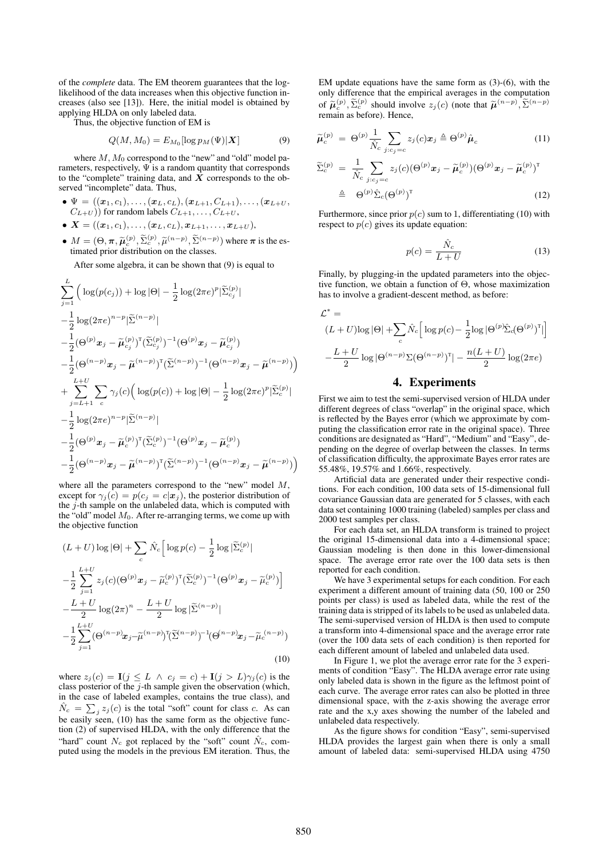of the *complete* data. The EM theorem guarantees that the loglikelihood of the data increases when this objective function increases (also see [13]). Here, the initial model is obtained by applying HLDA on only labeled data.

Thus, the objective function of EM is

$$
Q(M, M_0) = E_{M_0}[\log p_M(\Psi)|\mathbf{X}] \tag{9}
$$

where  $M$ ,  $M_0$  correspond to the "new" and "old" model parameters, respectively,  $\Psi$  is a random quantity that corresponds to the "complete" training data, and  $X$  corresponds to the observed "incomplete" data. Thus,

•  $\Psi = ((x_1, c_1), \ldots, (x_L, c_L), (x_{L+1}, C_{L+1}), \ldots, (x_{L+U},$  $(C_{L+U})$  for random labels  $C_{L+1}, \ldots, C_{L+U}$ ,

$$
\bullet\ \boldsymbol{X}=((\boldsymbol{x}_1,c_1),\ldots,(\boldsymbol{x}_L,c_L),\boldsymbol{x}_{L+1},\ldots,\boldsymbol{x}_{L+U}),
$$

•  $M = (\Theta, \pi, \widetilde{\mu}_c^{(p)}, \widetilde{\Sigma}_c^{(p)}, \widetilde{\mu}^{(n-p)}, \widetilde{\Sigma}^{(n-p)})$  where  $\pi$  is the es-<br>timeted prior distribution on the classes timated prior distribution on the classes.

After some algebra, it can be shown that (9) is equal to

$$
\sum_{j=1}^{L} \left( \log(p(c_j)) + \log |\Theta| - \frac{1}{2} \log(2\pi e)^p |\widetilde{\Sigma}_{c_j}^{(p)}| \right. \\
\left. - \frac{1}{2} \log(2\pi e)^{n-p} |\widetilde{\Sigma}^{(n-p)}| \right. \\
\left. - \frac{1}{2} (\Theta^{(p)} x_j - \widetilde{\mu}_{c_j}^{(p)})^{\mathrm{T}} (\widetilde{\Sigma}_{c_j}^{(p)})^{-1} (\Theta^{(p)} x_j - \widetilde{\mu}_{c_j}^{(p)}) \right. \\
\left. - \frac{1}{2} (\Theta^{(n-p)} x_j - \widetilde{\mu}^{(n-p)})^{\mathrm{T}} (\widetilde{\Sigma}^{(n-p)})^{-1} (\Theta^{(n-p)} x_j - \widetilde{\mu}^{(n-p)}) \right) \\
+ \sum_{j=L+1}^{L+U} \sum_{c} \gamma_j(c) \left( \log(p(c)) + \log |\Theta| - \frac{1}{2} \log(2\pi e)^p |\widetilde{\Sigma}_c^{(p)}| \right. \\
\left. - \frac{1}{2} \log(2\pi e)^{n-p} |\widetilde{\Sigma}^{(n-p)}| \right. \\
\left. - \frac{1}{2} (\Theta^{(p)} x_j - \widetilde{\mu}_c^{(p)})^{\mathrm{T}} (\widetilde{\Sigma}_c^{(p)})^{-1} (\Theta^{(p)} x_j - \widetilde{\mu}_c^{(p)}) \right. \\
\left. - \frac{1}{2} (\Theta^{(n-p)} x_j - \widetilde{\mu}^{(n-p)})^{\mathrm{T}} (\widetilde{\Sigma}^{(n-p)})^{-1} (\Theta^{(n-p)} x_j - \widetilde{\mu}^{(n-p)}) \right)
$$

where all the parameters correspond to the "new" model  $M$ , except for  $\gamma_j(c) = p(c_j = c | \vec{x}_j)$ , the posterior distribution of the  $j$ -th sample on the unlabeled data, which is computed with the "old" model  $M_0$ . After re-arranging terms, we come up with the objective function

$$
(L+U)\log |\Theta| + \sum_{c} \hat{N}_{c} \Big[ \log p(c) - \frac{1}{2} \log |\tilde{\Sigma}_{c}^{(p)}| - \frac{1}{2} \sum_{j=1}^{L+U} z_{j}(c) (\Theta^{(p)} x_{j} - \tilde{\mu}_{c}^{(p)})^{\mathrm{T}} (\tilde{\Sigma}_{c}^{(p)})^{-1} (\Theta^{(p)} x_{j} - \tilde{\mu}_{c}^{(p)}) \Big] - \frac{L+U}{2} \log (2\pi)^{n} - \frac{L+U}{2} \log |\tilde{\Sigma}^{(n-p)}| - \frac{1}{2} \sum_{j=1}^{L+U} (\Theta^{(n-p)} x_{j} - \tilde{\mu}^{(n-p)})^{\mathrm{T}} (\tilde{\Sigma}^{(n-p)})^{-1} (\Theta^{(n-p)} x_{j} - \tilde{\mu}_{c}^{(n-p)})
$$
(10)

where  $z_i(c) = \mathbf{I}(j \leq L \land c_j = c) + \mathbf{I}(j > L)\gamma_i(c)$  is the class posterior of the  $j$ -th sample given the observation (which, in the case of labeled examples, contains the true class), and  $\hat{N}_c = \sum_j z_j(c)$  is the total "soft" count for class c. As can be easily seen, (10) has the same form as the objective function (2) of supervised HLDA, with the only difference that the "hard" count  $N_c$  got replaced by the "soft" count  $\hat{N}_c$ , computed using the models in the previous EM iteration. Thus, the EM update equations have the same form as (3)-(6), with the only difference that the empirical averages in the computation of  $\tilde{\mu}_c^{(p)}, \tilde{\Sigma}_c^{(p)}$  should involve  $z_j(c)$  (note that  $\tilde{\mu}^{(n-p)}, \tilde{\Sigma}^{(n-p)}$ ) remain as before). Hence,

$$
\widetilde{\boldsymbol{\mu}}_c^{(p)} = \Theta^{(p)} \frac{1}{\hat{N}_c} \sum_{j:c_j=c} z_j(c) \boldsymbol{x}_j \triangleq \Theta^{(p)} \hat{\boldsymbol{\mu}}_c \tag{11}
$$

$$
\widetilde{\Sigma}_c^{(p)} = \frac{1}{\hat{N}_c} \sum_{j:c_j=c} z_j(c) (\Theta^{(p)} x_j - \widetilde{\mu}_c^{(p)}) (\Theta^{(p)} x_j - \widetilde{\mu}_c^{(p)})^{\mathrm{T}} \n\triangleq \Theta^{(p)} \hat{\Sigma}_c (\Theta^{(p)})^{\mathrm{T}}
$$
\n(12)

Furthermore, since prior  $p(c)$  sum to 1, differentiating (10) with respect to  $p(c)$  gives its update equation:

$$
p(c) = \frac{\hat{N}_c}{L+U} \tag{13}
$$

Finally, by plugging-in the updated parameters into the objective function, we obtain a function of Θ, whose maximization has to involve a gradient-descent method, as before:

$$
\mathcal{L}^* =
$$
  
\n
$$
(L+U)\log |\Theta| + \sum_c \hat{N}_c \left[ \log p(c) - \frac{1}{2} \log |\Theta^{(p)} \hat{\Sigma}_c (\Theta^{(p)})^{\mathrm{T}}| \right]
$$
  
\n
$$
-\frac{L+U}{2} \log |\Theta^{(n-p)} \Sigma (\Theta^{(n-p)})^{\mathrm{T}}| - \frac{n(L+U)}{2} \log (2\pi e)
$$

## 4. Experiments

First we aim to test the semi-supervised version of HLDA under different degrees of class "overlap" in the original space, which is reflected by the Bayes error (which we approximate by computing the classification error rate in the original space). Three conditions are designated as "Hard", "Medium" and "Easy", depending on the degree of overlap between the classes. In terms of classification difficulty, the approximate Bayes error rates are 55.48%, 19.57% and 1.66%, respectively.

Artificial data are generated under their respective conditions. For each condition, 100 data sets of 15-dimensional full covariance Gaussian data are generated for 5 classes, with each data set containing 1000 training (labeled) samples per class and 2000 test samples per class.

For each data set, an HLDA transform is trained to project the original 15-dimensional data into a 4-dimensional space; Gaussian modeling is then done in this lower-dimensional space. The average error rate over the 100 data sets is then reported for each condition.

We have 3 experimental setups for each condition. For each experiment a different amount of training data (50, 100 or 250 points per class) is used as labeled data, while the rest of the training data is stripped of its labels to be used as unlabeled data. The semi-supervised version of HLDA is then used to compute a transform into 4-dimensional space and the average error rate (over the 100 data sets of each condition) is then reported for each different amount of labeled and unlabeled data used.

In Figure 1, we plot the average error rate for the 3 experiments of condition "Easy". The HLDA average error rate using only labeled data is shown in the figure as the leftmost point of each curve. The average error rates can also be plotted in three dimensional space, with the z-axis showing the average error rate and the x,y axes showing the number of the labeled and unlabeled data respectively.

As the figure shows for condition "Easy", semi-supervised HLDA provides the largest gain when there is only a small amount of labeled data: semi-supervised HLDA using 4750